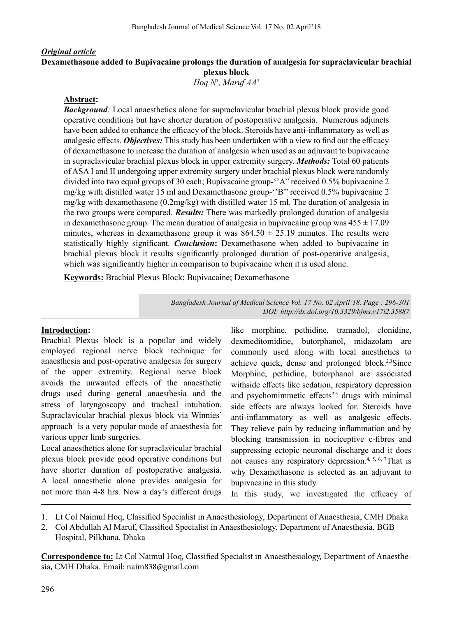# *Original article* **Dexamethasone added to Bupivacaine prolongs the duration of analgesia for supraclavicular brachial plexus block**

*Hoq N1 , Maruf AA2*

### **Abstract:**

**Background**: Local anaesthetics alone for supraclavicular brachial plexus block provide good operative conditions but have shorter duration of postoperative analgesia. Numerous adjuncts have been added to enhance the efficacy of the block. Steroids have anti-inflammatory as well as analgesic effects. *Objectives:* This study has been undertaken with a view to find out the efficacy of dexamethasone to increase the duration of analgesia when used as an adjuvant to bupivacaine in supraclavicular brachial plexus block in upper extremity surgery. *Methods:* Total 60 patients of ASA I and II undergoing upper extremity surgery under brachial plexus block were randomly divided into two equal groups of 30 each; Bupivacaine group-''A'' received 0.5% bupivacaine 2 mg/kg with distilled water 15 ml and Dexamethasone group-''B'' received 0.5% bupivacaine 2 mg/kg with dexamethasone (0.2mg/kg) with distilled water 15 ml. The duration of analgesia in the two groups were compared. *Results:* There was markedly prolonged duration of analgesia in dexamethasone group. The mean duration of analgesia in bupivacaine group was  $455 \pm 17.09$ minutes, whereas in dexamethasone group it was  $864.50 \pm 25.19$  minutes. The results were statistically highly significant*. Conclusion***:** Dexamethasone when added to bupivacaine in brachial plexus block it results significantly prolonged duration of post-operative analgesia, which was significantly higher in comparison to bupivacaine when it is used alone.

**Keywords:** Brachial Plexus Block; Bupivacaine; Dexamethasone

*Bangladesh Journal of Medical Science Vol. 17 No. 02 April'18. Page : 296-301 DOI: http://dx.doi.org/10.3329/bjms.v17i2.35887* 

### **Introduction:**

Brachial Plexus block is a popular and widely employed regional nerve block technique for anaesthesia and post-operative analgesia for surgery of the upper extremity. Regional nerve block avoids the unwanted effects of the anaesthetic drugs used during general anaesthesia and the stress of laryngoscopy and tracheal intubation. Supraclavicular brachial plexus block via Winnies' approach<sup>1</sup> is a very popular mode of anaesthesia for various upper limb surgeries.

Local anaesthetics alone for supraclavicular brachial plexus block provide good operative conditions but have shorter duration of postoperative analgesia. A local anaesthetic alone provides analgesia for not more than 4-8 hrs. Now a day's different drugs like morphine, pethidine, tramadol, clonidine, dexmeditomidine, butorphanol, midazolam are commonly used along with local anesthetics to achieve quick, dense and prolonged block.2,3Since Morphine, pethidine, butorphanol are associated withside effects like sedation, respiratory depression and psychomimmetic effects $2,3$  drugs with minimal side effects are always looked for. Steroids have anti-inflammatory as well as analgesic effects. They relieve pain by reducing inflammation and by blocking transmission in nociceptive c-fibres and suppressing ectopic neuronal discharge and it does not causes any respiratory depression.4, 5, 6, <sup>7</sup> That is why Dexamethasone is selected as an adjuvant to bupivacaine in this study.

In this study, we investigated the efficacy of

- 1. Lt Col Naimul Hoq, Classified Specialist in Anaesthesiology, Department of Anaesthesia, CMH Dhaka
- 2. Col Abdullah Al Maruf, Classified Specialist in Anaesthesiology, Department of Anaesthesia, BGB Hospital, Pilkhana, Dhaka

**Correspondence to:** Lt Col Naimul Hoq, Classified Specialist in Anaesthesiology, Department of Anaesthesia, CMH Dhaka. Email: naim838@gmail.com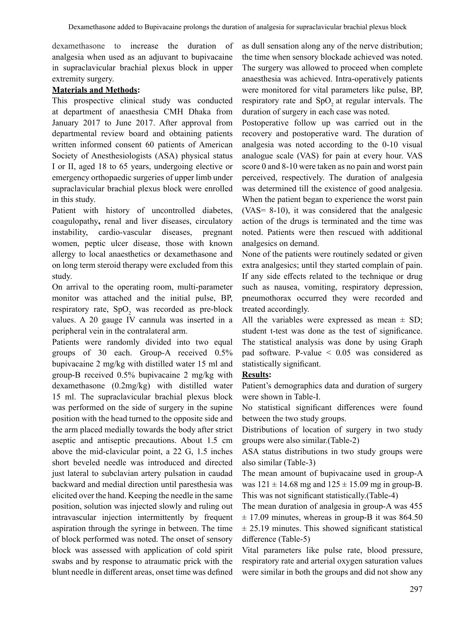dexamethasone to increase the duration of analgesia when used as an adjuvant to bupivacaine in supraclavicular brachial plexus block in upper extremity surgery.

### **Materials and Methods:**

This prospective clinical study was conducted at department of anaesthesia CMH Dhaka from January 2017 to June 2017. After approval from departmental review board and obtaining patients written informed consent 60 patients of American Society of Anesthesiologists (ASA) physical status I or II, aged 18 to 65 years, undergoing elective or emergency orthopaedic surgeries of upper limb under supraclavicular brachial plexus block were enrolled in this study.

Patient with history of uncontrolled diabetes, coagulopathy**,** renal and liver diseases, circulatory instability, cardio-vascular diseases, pregnant women, peptic ulcer disease, those with known allergy to local anaesthetics or dexamethasone and on long term steroid therapy were excluded from this study.

On arrival to the operating room, multi-parameter monitor was attached and the initial pulse, BP, respiratory rate, SpO<sub>2</sub> was recorded as pre-block values. A 20 gauge IV cannula was inserted in a peripheral vein in the contralateral arm.

Patients were randomly divided into two equal groups of 30 each. Group-A received 0.5% bupivacaine 2 mg/kg with distilled water 15 ml and group-B received 0.5% bupivacaine 2 mg/kg with dexamethasone (0.2mg/kg) with distilled water 15 ml. The supraclavicular brachial plexus block was performed on the side of surgery in the supine position with the head turned to the opposite side and the arm placed medially towards the body after strict aseptic and antiseptic precautions. About 1.5 cm above the mid-clavicular point, a 22 G, 1.5 inches short beveled needle was introduced and directed just lateral to subclavian artery pulsation in caudad backward and medial direction until paresthesia was elicited over the hand. Keeping the needle in the same position, solution was injected slowly and ruling out intravascular injection intermittently by frequent aspiration through the syringe in between. The time of block performed was noted. The onset of sensory block was assessed with application of cold spirit swabs and by response to atraumatic prick with the blunt needle in different areas, onset time was defined

as dull sensation along any of the nerve distribution; the time when sensory blockade achieved was noted. The surgery was allowed to proceed when complete anaesthesia was achieved. Intra-operatively patients were monitored for vital parameters like pulse, BP, respiratory rate and  $SpO<sub>2</sub>$  at regular intervals. The duration of surgery in each case was noted.

Postoperative follow up was carried out in the recovery and postoperative ward. The duration of analgesia was noted according to the 0-10 visual analogue scale (VAS) for pain at every hour. VAS score 0 and 8-10 were taken as no pain and worst pain perceived, respectively. The duration of analgesia was determined till the existence of good analgesia. When the patient began to experience the worst pain (VAS= 8-10), it was considered that the analgesic action of the drugs is terminated and the time was noted. Patients were then rescued with additional analgesics on demand.

None of the patients were routinely sedated or given extra analgesics; until they started complain of pain. If any side effects related to the technique or drug such as nausea, vomiting, respiratory depression, pneumothorax occurred they were recorded and treated accordingly.

All the variables were expressed as mean  $\pm$  SD; student t-test was done as the test of significance. The statistical analysis was done by using Graph pad software. P-value  $\leq$  0.05 was considered as statistically significant.

### **Results:**

Patient's demographics data and duration of surgery were shown in Table-I.

No statistical significant differences were found between the two study groups.

Distributions of location of surgery in two study groups were also similar.(Table-2)

ASA status distributions in two study groups were also similar (Table-3)

The mean amount of bupivacaine used in group-A was  $121 \pm 14.68$  mg and  $125 \pm 15.09$  mg in group-B. This was not significant statistically.(Table-4)

The mean duration of analgesia in group-A was 455  $\pm$  17.09 minutes, whereas in group-B it was 864.50  $\pm$  25.19 minutes. This showed significant statistical difference (Table-5)

Vital parameters like pulse rate, blood pressure, respiratory rate and arterial oxygen saturation values were similar in both the groups and did not show any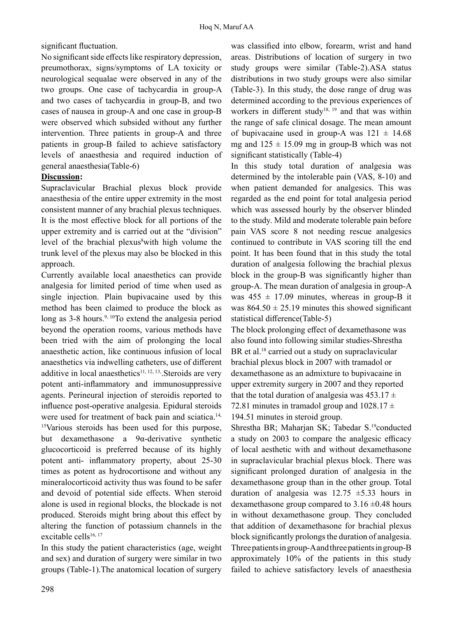significant fluctuation.

No significant side effects like respiratory depression, preumothorax, signs/symptoms of LA toxicity or neurological sequalae were observed in any of the two groups. One case of tachycardia in group-A and two cases of tachycardia in group-B, and two cases of nausea in group-A and one case in group-B were observed which subsided without any further intervention. Three patients in group-A and three patients in group-B failed to achieve satisfactory levels of anaesthesia and required induction of general anaesthesia(Table-6)

### **Discussion:**

Supraclavicular Brachial plexus block provide anaesthesia of the entire upper extremity in the most consistent manner of any brachial plexus techniques. It is the most effective block for all portions of the upper extremity and is carried out at the "division" level of the brachial plexus<sup>8</sup> with high volume the trunk level of the plexus may also be blocked in this approach.

Currently available local anaesthetics can provide analgesia for limited period of time when used as single injection. Plain bupivacaine used by this method has been claimed to produce the block as long as  $3-8$  hours.<sup>9, 10</sup>To extend the analgesia period beyond the operation rooms, various methods have been tried with the aim of prolonging the local anaesthetic action, like continuous infusion of local anaesthetics via indwelling catheters, use of different additive in local anaesthetics<sup>11, 12, 13</sup>. Steroids are very potent anti-inflammatory and immunosuppressive agents. Perineural injection of steroidis reported to influence post-operative analgesia. Epidural steroids were used for treatment of back pain and sciatica.<sup>14,</sup> 15Various steroids has been used for this purpose, but dexamethasone a 9α-derivative synthetic glucocorticoid is preferred because of its highly potent anti- inflammatory property, about 25-30 times as potent as hydrocortisone and without any mineralocorticoid activity thus was found to be safer and devoid of potential side effects. When steroid alone is used in regional blocks, the blockade is not produced. Steroids might bring about this effect by altering the function of potassium channels in the excitable cells<sup>16, 17</sup>

In this study the patient characteristics (age, weight and sex) and duration of surgery were similar in two groups (Table-1).The anatomical location of surgery was classified into elbow, forearm, wrist and hand areas. Distributions of location of surgery in two study groups were similar (Table-2).ASA status distributions in two study groups were also similar (Table-3). In this study, the dose range of drug was determined according to the previous experiences of workers in different study<sup>18, 19</sup> and that was within the range of safe clinical dosage. The mean amount of bupivacaine used in group-A was  $121 \pm 14.68$ mg and  $125 \pm 15.09$  mg in group-B which was not significant statistically (Table-4)

In this study total duration of analgesia was determined by the intolerable pain (VAS, 8-10) and when patient demanded for analgesics. This was regarded as the end point for total analgesia period which was assessed hourly by the observer blinded to the study. Mild and moderate tolerable pain before pain VAS score 8 not needing rescue analgesics continued to contribute in VAS scoring till the end point. It has been found that in this study the total duration of analgesia following the brachial plexus block in the group-B was significantly higher than group-A. The mean duration of analgesia in group-A was  $455 \pm 17.09$  minutes, whereas in group-B it was  $864.50 \pm 25.19$  minutes this showed significant statistical difference(Table-5)

The block prolonging effect of dexamethasone was also found into following similar studies-Shrestha BR et al.<sup>18</sup> carried out a study on supraclavicular brachial plexus block in 2007 with tramadol or dexamethasone as an admixture to bupivacaine in upper extremity surgery in 2007 and they reported that the total duration of analgesia was  $453.17 \pm$ 72.81 minutes in tramadol group and  $1028.17 \pm$ 194.51 minutes in steroid group.

Shrestha BR; Maharjan SK; Tabedar S.19conducted a study on 2003 to compare the analgesic efficacy of local aesthetic with and without dexamethasone in supraclavicular brachial plexus block. There was significant prolonged duration of analgesia in the dexamethasone group than in the other group. Total duration of analgesia was  $12.75 \pm 5.33$  hours in dexamethasone group compared to  $3.16 \pm 0.48$  hours in without dexamethasone group. They concluded that addition of dexamethasone for brachial plexus block significantly prolongs the duration of analgesia. Three patients in group-A and three patients in group-B approximately 10% of the patients in this study failed to achieve satisfactory levels of anaesthesia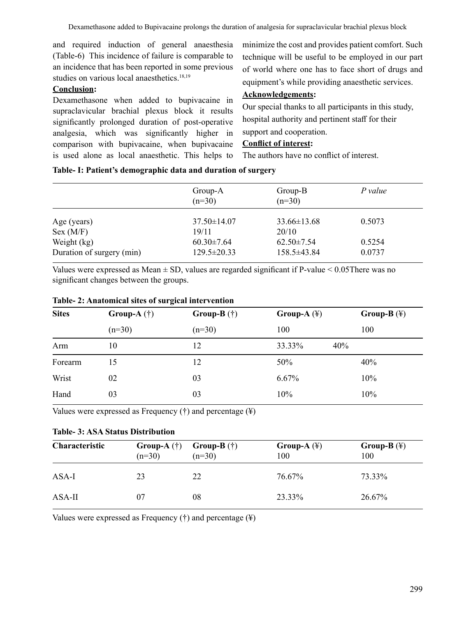and required induction of general anaesthesia (Table-6) This incidence of failure is comparable to an incidence that has been reported in some previous studies on various local anaesthetics.<sup>18,19</sup>

## **Conclusion:**

Dexamethasone when added to bupivacaine in supraclavicular brachial plexus block it results significantly prolonged duration of post-operative analgesia, which was significantly higher in comparison with bupivacaine, when bupivacaine is used alone as local anaesthetic. This helps to

minimize the cost and provides patient comfort. Such technique will be useful to be employed in our part of world where one has to face short of drugs and equipment's while providing anaesthetic services.

# **Acknowledgements:**

Our special thanks to all participants in this study, hospital authority and pertinent staff for their support and cooperation.

# **Conflict of interest:**

The authors have no conflict of interest.

### **Table- I: Patient's demographic data and duration of surgery**

|                           | Group-A<br>$(n=30)$ | Group-B<br>$(n=30)$ | P value |
|---------------------------|---------------------|---------------------|---------|
| Age (years)               | $37.50 \pm 14.07$   | $33.66 \pm 13.68$   | 0.5073  |
| Sex (M/F)                 | 19/11               | 20/10               |         |
| Weight (kg)               | $60.30 \pm 7.64$    | $62.50 \pm 7.54$    | 0.5254  |
| Duration of surgery (min) | $129.5 \pm 20.33$   | 158.5±43.84         | 0.0737  |

Values were expressed as Mean  $\pm$  SD, values are regarded significant if P-value  $\leq$  0.05There was no significant changes between the groups.

| <b>Sites</b> | Group-A $(\dagger)$ | Group-B $(\dagger)$ | Group-A $(\frac{1}{2})$ | Group-B $(\frac{1}{2})$ |
|--------------|---------------------|---------------------|-------------------------|-------------------------|
|              | $(n=30)$            | $(n=30)$            | 100                     | 100                     |
| Arm          | 10                  | 12                  | 33.33%<br>40%           |                         |
| Forearm      | 15                  | 12                  | 50%                     | 40%                     |
| Wrist        | 02                  | 03                  | 6.67%                   | 10%                     |
| Hand         | 03                  | 03                  | 10%                     | 10%                     |

### **Table- 2: Anatomical sites of surgical intervention**

Values were expressed as Frequency  $(\dagger)$  and percentage  $(\dagger)$ 

### **Table- 3: ASA Status Distribution**

| Characteristic | Group-A $(\dagger)$<br>$(n=30)$ | Group-B $(\dagger)$<br>$(n=30)$ | Group-A $(\frac{1}{2})$<br>100 | Group-B $(\frac{1}{2})$<br>100 |
|----------------|---------------------------------|---------------------------------|--------------------------------|--------------------------------|
| ASA-I          | 23                              | 22                              | 76.67%                         | 73.33%                         |
| $ASA-II$       | 07                              | 08                              | 23.33%                         | 26.67%                         |

Values were expressed as Frequency  $(\dagger)$  and percentage  $(\dagger)$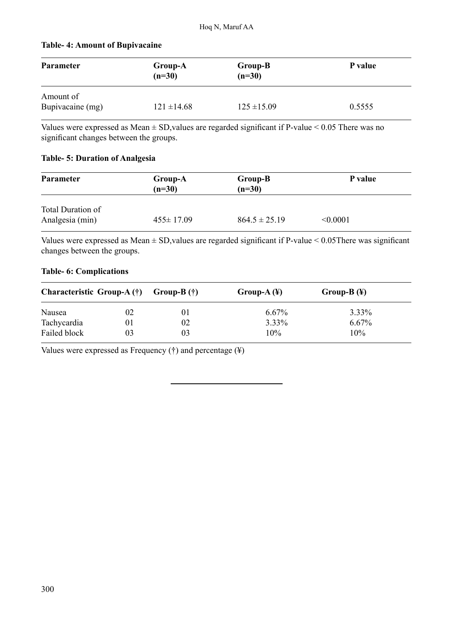## **Table- 4: Amount of Bupivacaine**

| <b>Parameter</b>              | Group-A<br>$(n=30)$ | Group-B<br>$(n=30)$ | P value |
|-------------------------------|---------------------|---------------------|---------|
| Amount of<br>Bupivacaine (mg) | $121 \pm 14.68$     | $125 \pm 15.09$     | 0.5555  |

Values were expressed as Mean ± SD,values are regarded significant if P-value < 0.05 There was no significant changes between the groups.

### **Table- 5: Duration of Analgesia**

| <b>Parameter</b>                     | Group-A<br>$(n=30)$ | Group-B<br>$(n=30)$ | P value  |
|--------------------------------------|---------------------|---------------------|----------|
| Total Duration of<br>Analgesia (min) | $455 \pm 17.09$     | $864.5 \pm 25.19$   | < 0.0001 |

Values were expressed as Mean  $\pm$  SD, values are regarded significant if P-value  $\leq$  0.05There was significant changes between the groups.

## **Table- 6: Complications**

| Characteristic Group-A (†) |    | Group-B $(\dagger)$ | Group-A $(\frac{1}{2})$ | Group-B $(\frac{1}{2})$ |  |
|----------------------------|----|---------------------|-------------------------|-------------------------|--|
| Nausea                     | 02 | UI                  | $6.67\%$                | $3.33\%$                |  |
| Tachycardia                | 01 | 02                  | 3.33%                   | 6.67%                   |  |
| Failed block               | 03 | 03                  | $10\%$                  | 10%                     |  |

Values were expressed as Frequency  $(\dagger)$  and percentage  $(\dagger)$